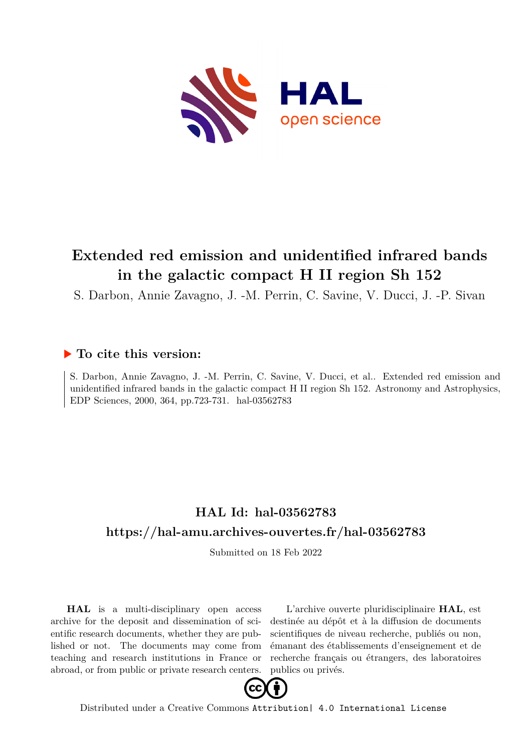

# **Extended red emission and unidentified infrared bands in the galactic compact H II region Sh 152**

S. Darbon, Annie Zavagno, J. -M. Perrin, C. Savine, V. Ducci, J. -P. Sivan

### **To cite this version:**

S. Darbon, Annie Zavagno, J. -M. Perrin, C. Savine, V. Ducci, et al.. Extended red emission and unidentified infrared bands in the galactic compact H II region Sh 152. Astronomy and Astrophysics, EDP Sciences, 2000, 364, pp.723-731. hal-03562783

## **HAL Id: hal-03562783 <https://hal-amu.archives-ouvertes.fr/hal-03562783>**

Submitted on 18 Feb 2022

**HAL** is a multi-disciplinary open access archive for the deposit and dissemination of scientific research documents, whether they are published or not. The documents may come from teaching and research institutions in France or abroad, or from public or private research centers.

L'archive ouverte pluridisciplinaire **HAL**, est destinée au dépôt et à la diffusion de documents scientifiques de niveau recherche, publiés ou non, émanant des établissements d'enseignement et de recherche français ou étrangers, des laboratoires publics ou privés.



Distributed under a Creative Commons [Attribution| 4.0 International License](http://creativecommons.org/licenses/by/4.0/)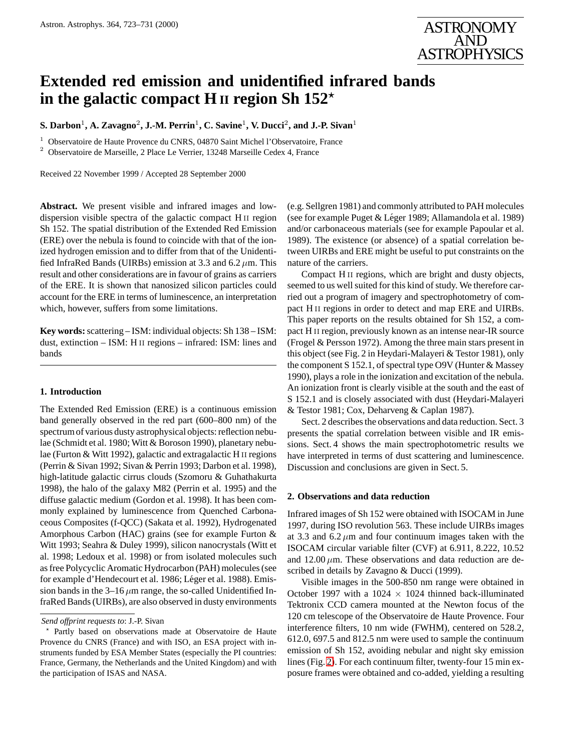

### **Extended red emission and unidentified infrared bands in the galactic compact H II region Sh 152**?

 ${\bf S.~Darbon^1, A.~Zavagno^2, J.-M.~Perrin^1, C.~Savine^1, V.~Ducci^2, and J.-P.~Sivan^1}$ 

<sup>1</sup> Observatoire de Haute Provence du CNRS, 04870 Saint Michel l'Observatoire, France

<sup>2</sup> Observatoire de Marseille, 2 Place Le Verrier, 13248 Marseille Cedex 4, France

Received 22 November 1999 / Accepted 28 September 2000

**Abstract.** We present visible and infrared images and lowdispersion visible spectra of the galactic compact H<sub>II</sub> region Sh 152. The spatial distribution of the Extended Red Emission (ERE) over the nebula is found to coincide with that of the ionized hydrogen emission and to differ from that of the Unidentified InfraRed Bands (UIRBs) emission at 3.3 and 6.2  $\mu$ m. This result and other considerations are in favour of grains as carriers of the ERE. It is shown that nanosized silicon particles could account for the ERE in terms of luminescence, an interpretation which, however, suffers from some limitations.

**Key words:**scattering – ISM: individual objects: Sh 138 – ISM: dust, extinction – ISM: H<sub>II</sub> regions – infrared: ISM: lines and bands

#### **1. Introduction**

The Extended Red Emission (ERE) is a continuous emission band generally observed in the red part (600–800 nm) of the spectrum of various dusty astrophysical objects: reflection nebulae (Schmidt et al. 1980; Witt & Boroson 1990), planetary nebulae (Furton & Witt 1992), galactic and extragalactic H II regions (Perrin & Sivan 1992; Sivan & Perrin 1993; Darbon et al. 1998), high-latitude galactic cirrus clouds (Szomoru & Guhathakurta 1998), the halo of the galaxy M82 (Perrin et al. 1995) and the diffuse galactic medium (Gordon et al. 1998). It has been commonly explained by luminescence from Quenched Carbonaceous Composites (f-QCC) (Sakata et al. 1992), Hydrogenated Amorphous Carbon (HAC) grains (see for example Furton & Witt 1993; Seahra & Duley 1999), silicon nanocrystals (Witt et al. 1998; Ledoux et al. 1998) or from isolated molecules such as free Polycyclic Aromatic Hydrocarbon (PAH) molecules (see for example d'Hendecourt et al. 1986; Léger et al. 1988). Emission bands in the  $3-16 \mu m$  range, the so-called Unidentified InfraRed Bands (UIRBs), are also observed in dusty environments

(e.g. Sellgren 1981) and commonly attributed to PAH molecules (see for example Puget & Léger 1989; Allamandola et al. 1989) and/or carbonaceous materials (see for example Papoular et al. 1989). The existence (or absence) of a spatial correlation between UIRBs and ERE might be useful to put constraints on the nature of the carriers.

Compact H<sub>II</sub> regions, which are bright and dusty objects, seemed to us well suited for this kind of study. We therefore carried out a program of imagery and spectrophotometry of compact H<sub>II</sub> regions in order to detect and map ERE and UIRBs. This paper reports on the results obtained for Sh 152, a compact H<sub>II</sub> region, previously known as an intense near-IR source (Frogel & Persson 1972). Among the three main stars present in this object (see Fig. 2 in Heydari-Malayeri & Testor 1981), only the component S 152.1, of spectral type O9V (Hunter & Massey 1990), plays a role in the ionization and excitation of the nebula. An ionization front is clearly visible at the south and the east of S 152.1 and is closely associated with dust (Heydari-Malayeri & Testor 1981; Cox, Deharveng & Caplan 1987).

Sect. 2 describes the observations and data reduction. Sect. 3 presents the spatial correlation between visible and IR emissions. Sect. 4 shows the main spectrophotometric results we have interpreted in terms of dust scattering and luminescence. Discussion and conclusions are given in Sect. 5.

#### **2. Observations and data reduction**

Infrared images of Sh 152 were obtained with ISOCAM in June 1997, during ISO revolution 563. These include UIRBs images at 3.3 and  $6.2 \mu m$  and four continuum images taken with the ISOCAM circular variable filter (CVF) at 6.911, 8.222, 10.52 and  $12.00 \mu$ m. These observations and data reduction are described in details by Zavagno & Ducci (1999).

Visible images in the 500-850 nm range were obtained in October 1997 with a 1024  $\times$  1024 thinned back-illuminated Tektronix CCD camera mounted at the Newton focus of the 120 cm telescope of the Observatoire de Haute Provence. Four interference filters, 10 nm wide (FWHM), centered on 528.2, 612.0, 697.5 and 812.5 nm were used to sample the continuum emission of Sh 152, avoiding nebular and night sky emission lines (Fig. [2\)](#page-2-0). For each continuum filter, twenty-four 15 min exposure frames were obtained and co-added, yielding a resulting

*Send offprint requests to*: J.-P. Sivan

<sup>?</sup> Partly based on observations made at Observatoire de Haute Provence du CNRS (France) and with ISO, an ESA project with instruments funded by ESA Member States (especially the PI countries: France, Germany, the Netherlands and the United Kingdom) and with the participation of ISAS and NASA.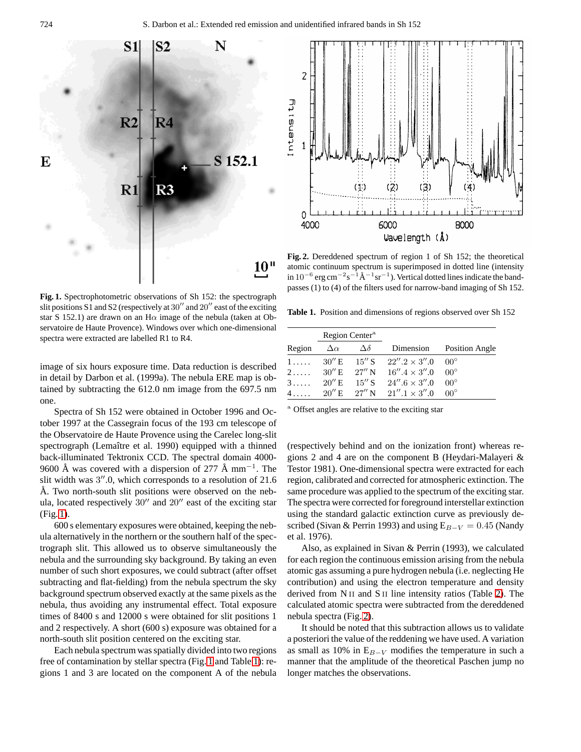<span id="page-2-0"></span>



**Fig. 2.** Dereddened spectrum of region 1 of Sh 152; the theoretical atomic continuum spectrum is superimposed in dotted line (intensity in  $10^{-6}$  erg cm<sup>-2</sup>s<sup>-1</sup>Å<sup>-1</sup>sr<sup>-1</sup>). Vertical dotted lines indicate the bandpasses (1) to (4) of the filters used for narrow-band imaging of Sh 152.

**Fig. 1.** Spectrophotometric observations of Sh 152: the spectrograph slit positions S1 and S2 (respectively at  $30''$  and  $20''$  east of the exciting star S 152.1) are drawn on an H $\alpha$  image of the nebula (taken at Observatoire de Haute Provence). Windows over which one-dimensional spectra were extracted are labelled R1 to R4.

image of six hours exposure time. Data reduction is described in detail by Darbon et al. (1999a). The nebula ERE map is obtained by subtracting the 612.0 nm image from the 697.5 nm one.

Spectra of Sh 152 were obtained in October 1996 and October 1997 at the Cassegrain focus of the 193 cm telescope of the Observatoire de Haute Provence using the Carelec long-slit spectrograph (Lemaître et al. 1990) equipped with a thinned back-illuminated Tektronix CCD. The spectral domain 4000- 9600 Å was covered with a dispersion of 277 Å mm<sup>-1</sup>. The slit width was  $3''$ .0, which corresponds to a resolution of 21.6 Å. Two north-south slit positions were observed on the nebula, located respectively  $30''$  and  $20''$  east of the exciting star (Fig. 1).

600 s elementary exposures were obtained, keeping the nebula alternatively in the northern or the southern half of the spectrograph slit. This allowed us to observe simultaneously the nebula and the surrounding sky background. By taking an even number of such short exposures, we could subtract (after offset subtracting and flat-fielding) from the nebula spectrum the sky background spectrum observed exactly at the same pixels as the nebula, thus avoiding any instrumental effect. Total exposure times of 8400 s and 12000 s were obtained for slit positions 1 and 2 respectively. A short (600 s) exposure was obtained for a north-south slit position centered on the exciting star.

Each nebula spectrum was spatially divided into two regions free of contamination by stellar spectra (Fig. 1 and Table 1): regions 1 and 3 are located on the component A of the nebula

**Table 1.** Position and dimensions of regions observed over Sh 152

|             | Region Center <sup>a</sup> |                |                                                          |                          |
|-------------|----------------------------|----------------|----------------------------------------------------------|--------------------------|
| Region      | $\Delta \alpha$            | $\Delta\delta$ |                                                          | Dimension Position Angle |
| $1, \ldots$ |                            |                | $30''$ E $15''$ S $22''.2 \times 3''.0$ 00 <sup>o</sup>  |                          |
|             |                            |                | 2 $30'' E$ 27" N $16''.4 \times 3''.0$ 00°               |                          |
| 3.          |                            |                | $20''$ E $15''$ S $24''$ 6 $\times$ 3" 0 00 <sup>o</sup> |                          |
|             |                            |                | 4 $20'' E$ $27'' N$ $21'' .1 \times 3'' .0$ $00^{\circ}$ |                          |

<sup>a</sup> Offset angles are relative to the exciting star

(respectively behind and on the ionization front) whereas regions 2 and 4 are on the component B (Heydari-Malayeri & Testor 1981). One-dimensional spectra were extracted for each region, calibrated and corrected for atmospheric extinction. The same procedure was applied to the spectrum of the exciting star. The spectra were corrected for foreground interstellar extinction using the standard galactic extinction curve as previously described (Sivan & Perrin 1993) and using  $E_{B-V} = 0.45$  (Nandy et al. 1976).

Also, as explained in Sivan & Perrin (1993), we calculated for each region the continuous emission arising from the nebula atomic gas assuming a pure hydrogen nebula (i.e. neglecting He contribution) and using the electron temperature and density derived from N<sub>II</sub> and S<sub>II</sub> line intensity ratios (Table [2\)](#page-3-0). The calculated atomic spectra were subtracted from the dereddened nebula spectra (Fig. 2).

It should be noted that this subtraction allows us to validate a posteriori the value of the reddening we have used. A variation as small as 10% in  $E_{B-V}$  modifies the temperature in such a manner that the amplitude of the theoretical Paschen jump no longer matches the observations.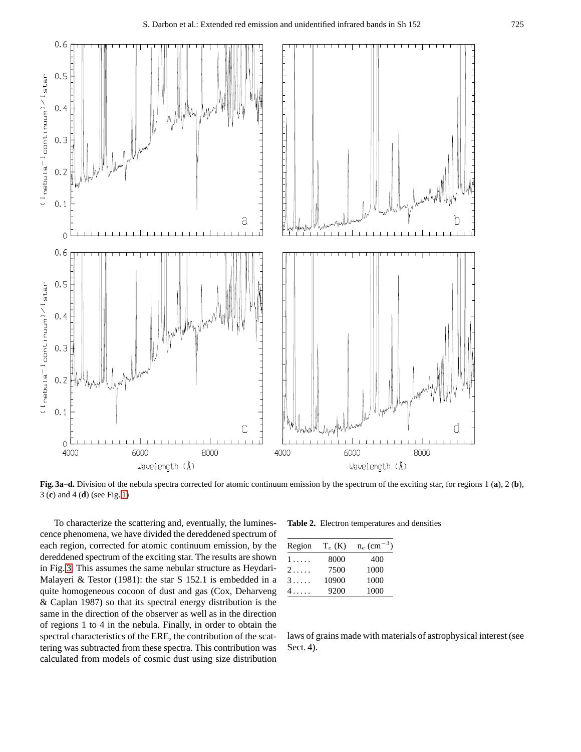<span id="page-3-0"></span>

**Fig. 3a–d.** Division of the nebula spectra corrected for atomic continuum emission by the spectrum of the exciting star, for regions 1 (**a**), 2 (**b**), 3 (**c**) and 4 (**d**) (see Fig. [1\)](#page-2-0)

To characterize the scattering and, eventually, the luminescence phenomena, we have divided the dereddened spectrum of each region, corrected for atomic continuum emission, by the dereddened spectrum of the exciting star. The results are shown in Fig. 3. This assumes the same nebular structure as Heydari-Malayeri & Testor (1981): the star S 152.1 is embedded in a quite homogeneous cocoon of dust and gas (Cox, Deharveng & Caplan 1987) so that its spectral energy distribution is the same in the direction of the observer as well as in the direction of regions 1 to 4 in the nebula. Finally, in order to obtain the spectral characteristics of the ERE, the contribution of the scattering was subtracted from these spectra. This contribution was calculated from models of cosmic dust using size distribution

**Table 2.** Electron temperatures and densities

| Region | $T_e$ (K) | $n_e$ (cm <sup>-3</sup> ) |
|--------|-----------|---------------------------|
| 1.     | 8000      | 400                       |
| 2.1.1  | 7500      | 1000                      |
| 3.111  | 10900     | 1000                      |
| 4      | 9200      | 1000                      |
|        |           |                           |

laws of grains made with materials of astrophysical interest (see Sect. 4).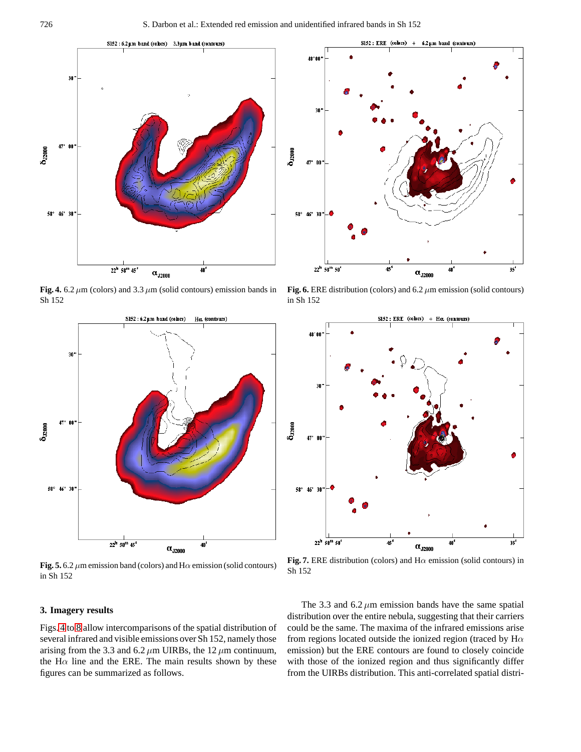<span id="page-4-0"></span>

**Fig. 4.** 6.2  $\mu$ m (colors) and 3.3  $\mu$ m (solid contours) emission bands in Sh 152



**Fig. 5.** 6.2  $\mu$ m emission band (colors) and H $\alpha$  emission (solid contours) in Sh 152

#### **3. Imagery results**

Figs. 4 to [8](#page-5-0) allow intercomparisons of the spatial distribution of several infrared and visible emissions over Sh 152, namely those arising from the 3.3 and 6.2  $\mu$ m UIRBs, the 12  $\mu$ m continuum, the H $\alpha$  line and the ERE. The main results shown by these figures can be summarized as follows.



**Fig. 6.** ERE distribution (colors) and 6.2  $\mu$ m emission (solid contours) in Sh 152



**Fig. 7.** ERE distribution (colors) and  $H\alpha$  emission (solid contours) in Sh 152

The 3.3 and  $6.2 \mu m$  emission bands have the same spatial distribution over the entire nebula, suggesting that their carriers could be the same. The maxima of the infrared emissions arise from regions located outside the ionized region (traced by  $H\alpha$ emission) but the ERE contours are found to closely coincide with those of the ionized region and thus significantly differ from the UIRBs distribution. This anti-correlated spatial distri-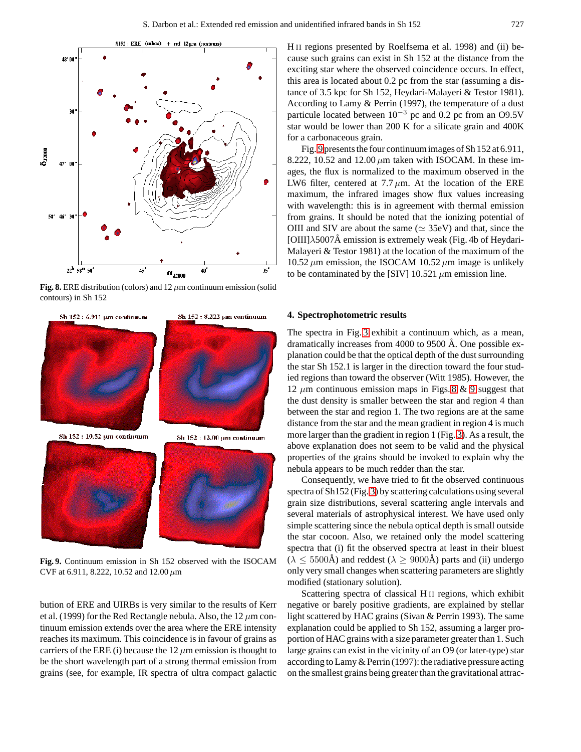<span id="page-5-0"></span>

**Fig. 8.** ERE distribution (colors) and  $12 \mu$ m continuum emission (solid contours) in Sh 152



**Fig. 9.** Continuum emission in Sh 152 observed with the ISOCAM CVF at 6.911, 8.222, 10.52 and 12.00  $\mu$ m

bution of ERE and UIRBs is very similar to the results of Kerr et al. (1999) for the Red Rectangle nebula. Also, the 12  $\mu$ m continuum emission extends over the area where the ERE intensity reaches its maximum. This coincidence is in favour of grains as carriers of the ERE (i) because the  $12 \mu$ m emission is thought to be the short wavelength part of a strong thermal emission from grains (see, for example, IR spectra of ultra compact galactic

H<sub>II</sub> regions presented by Roelfsema et al. 1998) and (ii) because such grains can exist in Sh 152 at the distance from the exciting star where the observed coincidence occurs. In effect, this area is located about 0.2 pc from the star (assuming a distance of 3.5 kpc for Sh 152, Heydari-Malayeri & Testor 1981). According to Lamy & Perrin (1997), the temperature of a dust particule located between 10<sup>−</sup><sup>3</sup> pc and 0.2 pc from an O9.5V star would be lower than 200 K for a silicate grain and 400K for a carbonaceous grain.

Fig. 9 presents the four continuum images of Sh 152 at 6.911, 8.222, 10.52 and 12.00  $\mu$ m taken with ISOCAM. In these images, the flux is normalized to the maximum observed in the LW6 filter, centered at  $7.7 \mu m$ . At the location of the ERE maximum, the infrared images show flux values increasing with wavelength: this is in agreement with thermal emission from grains. It should be noted that the ionizing potential of OIII and SIV are about the same ( $\simeq$  35eV) and that, since the [OIII] $\lambda$ 5007Å emission is extremely weak (Fig. 4b of Heydari-Malayeri & Testor 1981) at the location of the maximum of the 10.52  $\mu$ m emission, the ISOCAM 10.52  $\mu$ m image is unlikely to be contaminated by the [SIV]  $10.521 \mu m$  emission line.

#### **4. Spectrophotometric results**

The spectra in Fig. [3](#page-3-0) exhibit a continuum which, as a mean, dramatically increases from 4000 to 9500 Å. One possible explanation could be that the optical depth of the dust surrounding the star Sh 152.1 is larger in the direction toward the four studied regions than toward the observer (Witt 1985). However, the 12  $\mu$ m continuous emission maps in Figs. 8 & 9 suggest that the dust density is smaller between the star and region 4 than between the star and region 1. The two regions are at the same distance from the star and the mean gradient in region 4 is much more larger than the gradient in region 1 (Fig. [3\)](#page-3-0). As a result, the above explanation does not seem to be valid and the physical properties of the grains should be invoked to explain why the nebula appears to be much redder than the star.

Consequently, we have tried to fit the observed continuous spectra of Sh152 (Fig. [3\)](#page-3-0) by scattering calculations using several grain size distributions, several scattering angle intervals and several materials of astrophysical interest. We have used only simple scattering since the nebula optical depth is small outside the star cocoon. Also, we retained only the model scattering spectra that (i) fit the observed spectra at least in their bluest  $(\lambda \leq 5500\text{\AA})$  and reddest  $(\lambda \geq 9000\text{\AA})$  parts and (ii) undergo only very small changes when scattering parameters are slightly modified (stationary solution).

Scattering spectra of classical H<sub>II</sub> regions, which exhibit negative or barely positive gradients, are explained by stellar light scattered by HAC grains (Sivan & Perrin 1993). The same explanation could be applied to Sh 152, assuming a larger proportion of HAC grains with a size parameter greater than 1. Such large grains can exist in the vicinity of an O9 (or later-type) star according to Lamy & Perrin (1997): the radiative pressure acting on the smallest grains being greater than the gravitational attrac-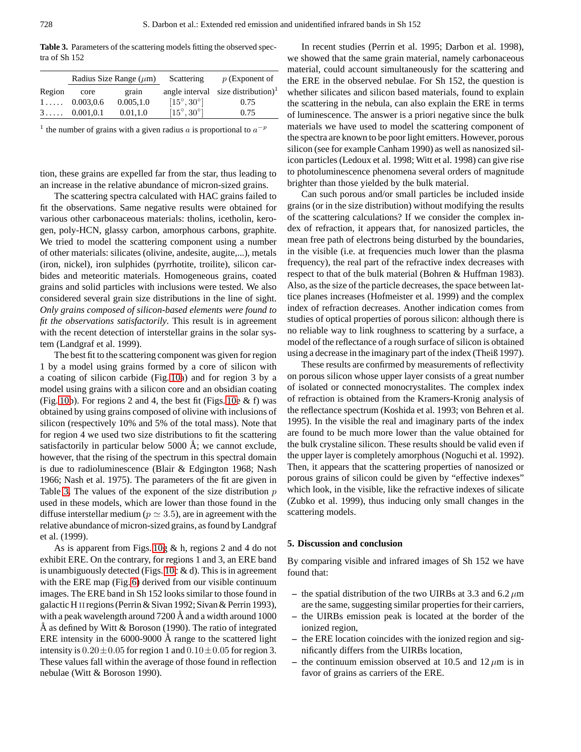<span id="page-6-0"></span>**Table 3.** Parameters of the scattering models fitting the observed spectra of Sh 152

|        |                       | Radius Size Range $(\mu m)$ | Scattering                 | $p$ (Exponent of                      |
|--------|-----------------------|-----------------------------|----------------------------|---------------------------------------|
| Region | core                  | grain                       |                            | angle interval size distribution) $1$ |
|        | $1 \ldots 0.003, 0.6$ | 0.005, 1.0                  | $[15^{\circ}, 30^{\circ}]$ | 0.75                                  |
|        | 3 0.001, 0.1          | 0.01, 1.0                   | $[15^{\circ}, 30^{\circ}]$ | 0.75                                  |

<sup>1</sup> the number of grains with a given radius a is proportional to  $a^{-p}$ 

tion, these grains are expelled far from the star, thus leading to an increase in the relative abundance of micron-sized grains.

The scattering spectra calculated with HAC grains failed to fit the observations. Same negative results were obtained for various other carbonaceous materials: tholins, icetholin, kerogen, poly-HCN, glassy carbon, amorphous carbons, graphite. We tried to model the scattering component using a number of other materials: silicates (olivine, andesite, augite,...), metals (iron, nickel), iron sulphides (pyrrhotite, troilite), silicon carbides and meteoritic materials. Homogeneous grains, coated grains and solid particles with inclusions were tested. We also considered several grain size distributions in the line of sight. *Only grains composed of silicon-based elements were found to fit the observations satisfactorily*. This result is in agreement with the recent detection of interstellar grains in the solar system (Landgraf et al. 1999).

The best fit to the scattering component was given for region 1 by a model using grains formed by a core of silicon with a coating of silicon carbide (Fig. [10a](#page-7-0)) and for region 3 by a model using grains with a silicon core and an obsidian coating (Fig. [10b](#page-7-0)). For regions 2 and 4, the best fit (Figs. [10e](#page-7-0) & f) was obtained by using grains composed of olivine with inclusions of silicon (respectively 10% and 5% of the total mass). Note that for region 4 we used two size distributions to fit the scattering satisfactorily in particular below  $5000 \text{ Å}$ ; we cannot exclude, however, that the rising of the spectrum in this spectral domain is due to radioluminescence (Blair & Edgington 1968; Nash 1966; Nash et al. 1975). The parameters of the fit are given in Table 3. The values of the exponent of the size distribution  $p$ used in these models, which are lower than those found in the diffuse interstellar medium ( $p \approx 3.5$ ), are in agreement with the relative abundance of micron-sized grains, as found by Landgraf et al. (1999).

As is apparent from Figs. [10g](#page-7-0) & h, regions 2 and 4 do not exhibit ERE. On the contrary, for regions 1 and 3, an ERE band is unambiguously detected (Figs. [10c](#page-7-0)  $\&$  d). This is in agreement with the ERE map (Fig. [6\)](#page-4-0) derived from our visible continuum images. The ERE band in Sh 152 looks similar to those found in galactic H II regions (Perrin & Sivan 1992; Sivan & Perrin 1993), with a peak wavelength around  $7200 \text{ Å}$  and a width around  $1000$ Å as defined by Witt  $& Boroson (1990)$ . The ratio of integrated ERE intensity in the  $6000-9000$  Å range to the scattered light intensity is  $0.20 \pm 0.05$  for region 1 and  $0.10 \pm 0.05$  for region 3. These values fall within the average of those found in reflection nebulae (Witt & Boroson 1990).

In recent studies (Perrin et al. 1995; Darbon et al. 1998), we showed that the same grain material, namely carbonaceous material, could account simultaneously for the scattering and the ERE in the observed nebulae. For Sh 152, the question is whether silicates and silicon based materials, found to explain the scattering in the nebula, can also explain the ERE in terms of luminescence. The answer is a priori negative since the bulk materials we have used to model the scattering component of the spectra are known to be poor light emitters. However, porous silicon (see for example Canham 1990) as well as nanosized silicon particles (Ledoux et al. 1998; Witt et al. 1998) can give rise to photoluminescence phenomena several orders of magnitude brighter than those yielded by the bulk material.

Can such porous and/or small particles be included inside grains (or in the size distribution) without modifying the results of the scattering calculations? If we consider the complex index of refraction, it appears that, for nanosized particles, the mean free path of electrons being disturbed by the boundaries, in the visible (i.e. at frequencies much lower than the plasma frequency), the real part of the refractive index decreases with respect to that of the bulk material (Bohren & Huffman 1983). Also, as the size of the particle decreases, the space between lattice planes increases (Hofmeister et al. 1999) and the complex index of refraction decreases. Another indication comes from studies of optical properties of porous silicon: although there is no reliable way to link roughness to scattering by a surface, a model of the reflectance of a rough surface of silicon is obtained using a decrease in the imaginary part of the index (Theiß 1997).

These results are confirmed by measurements of reflectivity on porous silicon whose upper layer consists of a great number of isolated or connected monocrystalites. The complex index of refraction is obtained from the Kramers-Kronig analysis of the reflectance spectrum (Koshida et al. 1993; von Behren et al. 1995). In the visible the real and imaginary parts of the index are found to be much more lower than the value obtained for the bulk crystaline silicon. These results should be valid even if the upper layer is completely amorphous (Noguchi et al. 1992). Then, it appears that the scattering properties of nanosized or porous grains of silicon could be given by "effective indexes" which look, in the visible, like the refractive indexes of silicate (Zubko et al. 1999), thus inducing only small changes in the scattering models.

#### **5. Discussion and conclusion**

By comparing visible and infrared images of Sh 152 we have found that:

- the spatial distribution of the two UIRBs at 3.3 and 6.2  $\mu$ m are the same, suggesting similar properties for their carriers,
- **–** the UIRBs emission peak is located at the border of the ionized region,
- **–** the ERE location coincides with the ionized region and significantly differs from the UIRBs location,
- the continuum emission observed at 10.5 and  $12 \mu m$  is in favor of grains as carriers of the ERE.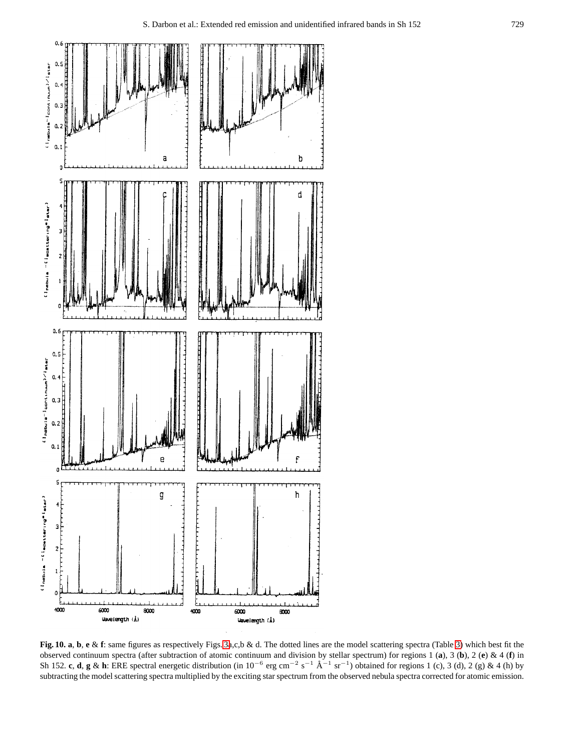<span id="page-7-0"></span>

**Fig. 10. a**, **b**, **e** & **f**: same figures as respectively Figs. [3a](#page-3-0),c,b & d. The dotted lines are the model scattering spectra (Table [3\)](#page-6-0) which best fit the observed continuum spectra (after subtraction of atomic continuum and division by stellar spectrum) for regions 1 (**a**), 3 (**b**), 2 (**e**)&4(**f**) in Sh 152. **c**, **d**, **g** & **h**: ERE spectral energetic distribution (in  $10^{-6}$  erg cm<sup>-2</sup> s<sup>-1</sup> Å<sup>-1</sup> sr<sup>-1</sup>) obtained for regions 1 (c), 3 (d), 2 (g) & 4 (h) by subtracting the model scattering spectra multiplied by the exciting star spectrum from the observed nebula spectra corrected for atomic emission.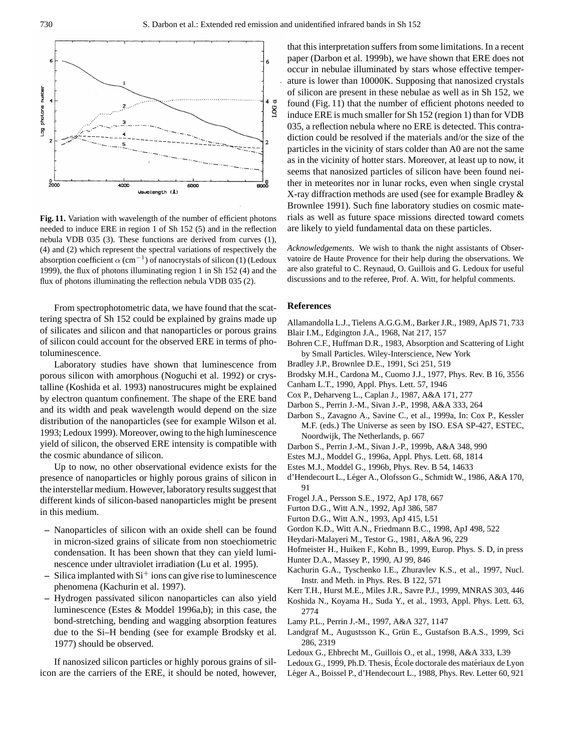

**Fig. 11.** Variation with wavelength of the number of efficient photons needed to induce ERE in region 1 of Sh 152 (5) and in the reflection nebula VDB 035 (3). These functions are derived from curves (1), (4) and (2) which represent the spectral variations of respectively the absorption coefficient  $\alpha$  (cm<sup>-1</sup>) of nanocrystals of silicon (1) (Ledoux 1999), the flux of photons illuminating region 1 in Sh 152 (4) and the flux of photons illuminating the reflection nebula VDB 035 (2).

From spectrophotometric data, we have found that the scattering spectra of Sh 152 could be explained by grains made up of silicates and silicon and that nanoparticles or porous grains of silicon could account for the observed ERE in terms of photoluminescence.

Laboratory studies have shown that luminescence from porous silicon with amorphous (Noguchi et al. 1992) or crystalline (Koshida et al. 1993) nanostrucures might be explained by electron quantum confinement. The shape of the ERE band and its width and peak wavelength would depend on the size distribution of the nanoparticles (see for example Wilson et al. 1993; Ledoux 1999). Moreover, owing to the high luminescence yield of silicon, the observed ERE intensity is compatible with the cosmic abundance of silicon.

Up to now, no other observational evidence exists for the presence of nanoparticles or highly porous grains of silicon in the interstellar medium. However, laboratory results suggest that different kinds of silicon-based nanoparticles might be present in this medium.

- **–** Nanoparticles of silicon with an oxide shell can be found in micron-sized grains of silicate from non stoechiometric condensation. It has been shown that they can yield luminescence under ultraviolet irradiation (Lu et al. 1995).
- $-$  Silica implanted with  $Si<sup>+</sup>$  ions can give rise to luminescence phenomena (Kachurin et al. 1997).
- **–** Hydrogen passivated silicon nanoparticles can also yield luminescence (Estes & Moddel 1996a,b); in this case, the bond-stretching, bending and wagging absorption features due to the Si–H bending (see for example Brodsky et al. 1977) should be observed.

If nanosized silicon particles or highly porous grains of silicon are the carriers of the ERE, it should be noted, however, that this interpretation suffers from some limitations. In a recent paper (Darbon et al. 1999b), we have shown that ERE does not occur in nebulae illuminated by stars whose effective temperature is lower than 10000K. Supposing that nanosized crystals of silicon are present in these nebulae as well as in Sh 152, we found (Fig. 11) that the number of efficient photons needed to induce ERE is much smaller for Sh 152 (region 1) than for VDB 035, a reflection nebula where no ERE is detected. This contradiction could be resolved if the materials and/or the size of the particles in the vicinity of stars colder than A0 are not the same as in the vicinity of hotter stars. Moreover, at least up to now, it seems that nanosized particles of silicon have been found neither in meteorites nor in lunar rocks, even when single crystal X-ray diffraction methods are used (see for example Bradley & Brownlee 1991). Such fine laboratory studies on cosmic materials as well as future space missions directed toward comets are likely to yield fundamental data on these particles.

*Acknowledgements.* We wish to thank the night assistants of Observatoire de Haute Provence for their help during the observations. We are also grateful to C. Reynaud, O. Guillois and G. Ledoux for useful discussions and to the referee, Prof. A. Witt, for helpful comments.

#### **References**

- Allamandolla L.J., Tielens A.G.G.M., Barker J.R., 1989, ApJS 71, 733
- Blair I.M., Edgington J.A., 1968, Nat 217, 157
- Bohren C.F., Huffman D.R., 1983, Absorption and Scattering of Light by Small Particles. Wiley-Interscience, New York
- Bradley J.P., Brownlee D.E., 1991, Sci 251, 519
- Brodsky M.H., Cardona M., Cuomo J.J., 1977, Phys. Rev. B 16, 3556
- Canham L.T., 1990, Appl. Phys. Lett. 57, 1946
- Cox P., Deharveng L., Caplan J., 1987, A&A 171, 277
- Darbon S., Perrin J.-M., Sivan J.-P., 1998, A&A 333, 264
- Darbon S., Zavagno A., Savine C., et al., 1999a, In: Cox P., Kessler M.F. (eds.) The Universe as seen by ISO. ESA SP-427, ESTEC, Noordwijk, The Netherlands, p. 667
- Darbon S., Perrin J.-M., Sivan J.-P., 1999b, A&A 348, 990
- Estes M.J., Moddel G., 1996a, Appl. Phys. Lett. 68, 1814
- Estes M.J., Moddel G., 1996b, Phys. Rev. B 54, 14633
- d'Hendecourt L., Léger A., Olofsson G., Schmidt W., 1986, A&A 170, 91
- Frogel J.A., Persson S.E., 1972, ApJ 178, 667
- Furton D.G., Witt A.N., 1992, ApJ 386, 587
- Furton D.G., Witt A.N., 1993, ApJ 415, L51
- Gordon K.D., Witt A.N., Friedmann B.C., 1998, ApJ 498, 522
- Heydari-Malayeri M., Testor G., 1981, A&A 96, 229

Hofmeister H., Huiken F., Kohn B., 1999, Europ. Phys. S. D, in press

- Hunter D.A., Massey P., 1990, AJ 99, 846
- Kachurin G.A., Tyschenko I.E., Zhuravlev K.S., et al., 1997, Nucl. Instr. and Meth. in Phys. Res. B 122, 571

Kerr T.H., Hurst M.E., Miles J.R., Savre P.J., 1999, MNRAS 303, 446

Koshida N., Koyama H., Suda Y., et al., 1993, Appl. Phys. Lett. 63, 2774

- Lamy P.L., Perrin J.-M., 1997, A&A 327, 1147
- Landgraf M., Augustsson K., Grün E., Gustafson B.A.S., 1999, Sci 286, 2319
- Ledoux G., Ehbrecht M., Guillois O., et al., 1998, A&A 333, L39
- Ledoux G., 1999, Ph.D. Thesis, École doctorale des matériaux de Lyon
- Léger A., Boissel P., d'Hendecourt L., 1988, Phys. Rev. Letter 60, 921